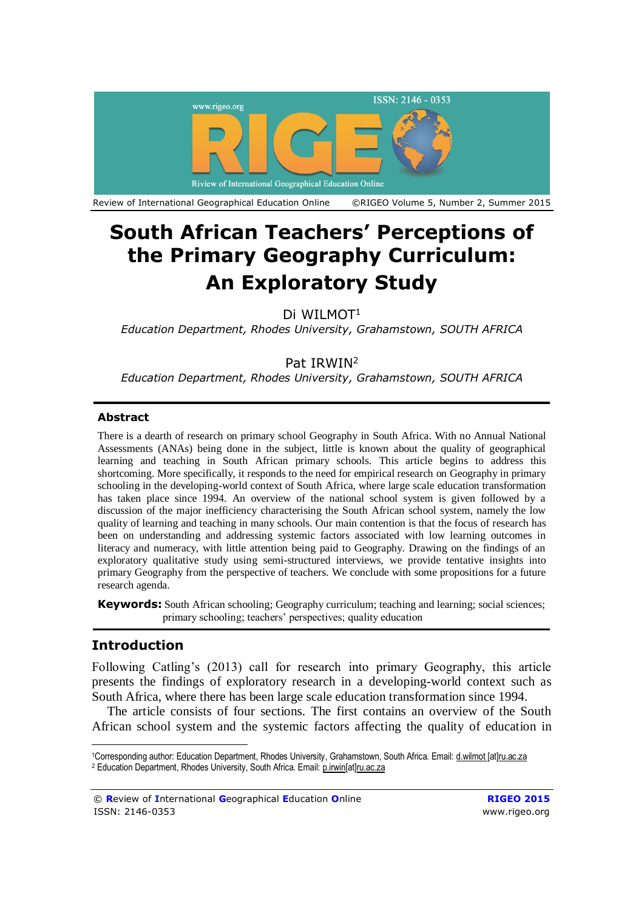

# **South African Teachers' Perceptions of the Primary Geography Curriculum: An Exploratory Study**

Di WII MOT<sup>1</sup>

*Education Department, Rhodes University, Grahamstown, SOUTH AFRICA*

# Pat IRWIN<sup>2</sup>

*Education Department, Rhodes University, Grahamstown, SOUTH AFRICA*

### **Abstract**

There is a dearth of research on primary school Geography in South Africa. With no Annual National Assessments (ANAs) being done in the subject, little is known about the quality of geographical learning and teaching in South African primary schools. This article begins to address this shortcoming. More specifically, it responds to the need for empirical research on Geography in primary schooling in the developing-world context of South Africa, where large scale education transformation has taken place since 1994. An overview of the national school system is given followed by a discussion of the major inefficiency characterising the South African school system, namely the low quality of learning and teaching in many schools. Our main contention is that the focus of research has been on understanding and addressing systemic factors associated with low learning outcomes in literacy and numeracy, with little attention being paid to Geography. Drawing on the findings of an exploratory qualitative study using semi-structured interviews, we provide tentative insights into primary Geography from the perspective of teachers. We conclude with some propositions for a future research agenda.

**Keywords:** South African schooling; Geography curriculum; teaching and learning; social sciences; primary schooling; teachers' perspectives; quality education

# **Introduction**

 $\overline{a}$ 

Following Catling's (2013) call for research into primary Geography, this article presents the findings of exploratory research in a developing-world context such as South Africa, where there has been large scale education transformation since 1994.

The article consists of four sections. The first contains an overview of the South African school system and the systemic factors affecting the quality of education in

<sup>1</sup>Corresponding author: Education Department, Rhodes University, Grahamstown, South Africa. Email: d.wilmot [\[at\]ru.ac.za](mailto:d.wilmot@ru.ac.za) <sup>2</sup> Education Department, Rhodes University, South Africa. Email: [p.irwin\[at\]ru.ac.za](mailto:p.irwin@ru.ac.za)

<sup>©</sup> **R**eview of **I**nternational **G**eographical **E**ducation **O**nline **RIGEO 2015** ISSN: 2146-0353 [www.rigeo.org](http://www.rigeo.org/)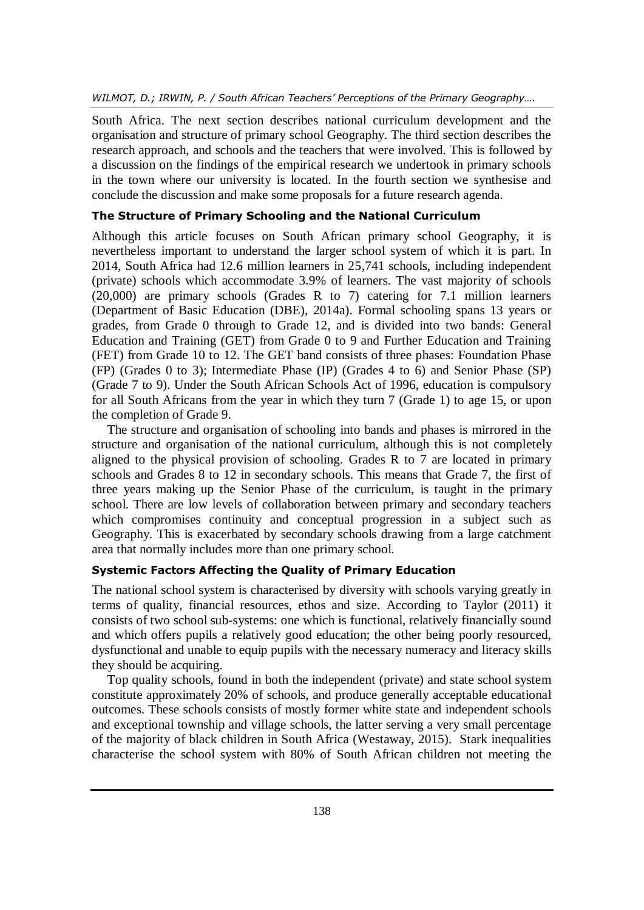South Africa. The next section describes national curriculum development and the organisation and structure of primary school Geography. The third section describes the research approach, and schools and the teachers that were involved. This is followed by a discussion on the findings of the empirical research we undertook in primary schools in the town where our university is located. In the fourth section we synthesise and conclude the discussion and make some proposals for a future research agenda.

## **The Structure of Primary Schooling and the National Curriculum**

Although this article focuses on South African primary school Geography, it is nevertheless important to understand the larger school system of which it is part. In 2014, South Africa had 12.6 million learners in 25,741 schools, including independent (private) schools which accommodate 3.9% of learners. The vast majority of schools (20,000) are primary schools (Grades R to 7) catering for 7.1 million learners (Department of Basic Education (DBE), 2014a). Formal schooling spans 13 years or grades, from Grade 0 through to Grade 12, and is divided into two bands: General Education and Training (GET) from Grade 0 to 9 and Further Education and Training (FET) from Grade 10 to 12. The GET band consists of three phases: Foundation Phase (FP) (Grades 0 to 3); Intermediate Phase (IP) (Grades 4 to 6) and Senior Phase (SP) (Grade 7 to 9). Under the South African Schools Act of 1996, education is compulsory for all South Africans from the year in which they turn 7 (Grade 1) to age 15, or upon the completion of Grade 9.

The structure and organisation of schooling into bands and phases is mirrored in the structure and organisation of the national curriculum, although this is not completely aligned to the physical provision of schooling. Grades R to 7 are located in primary schools and Grades 8 to 12 in secondary schools. This means that Grade 7, the first of three years making up the Senior Phase of the curriculum, is taught in the primary school. There are low levels of collaboration between primary and secondary teachers which compromises continuity and conceptual progression in a subject such as Geography. This is exacerbated by secondary schools drawing from a large catchment area that normally includes more than one primary school.

## **Systemic Factors Affecting the Quality of Primary Education**

The national school system is characterised by diversity with schools varying greatly in terms of quality, financial resources, ethos and size. According to Taylor (2011) it consists of two school sub-systems: one which is functional, relatively financially sound and which offers pupils a relatively good education; the other being poorly resourced, dysfunctional and unable to equip pupils with the necessary numeracy and literacy skills they should be acquiring.

Top quality schools, found in both the independent (private) and state school system constitute approximately 20% of schools, and produce generally acceptable educational outcomes. These schools consists of mostly former white state and independent schools and exceptional township and village schools, the latter serving a very small percentage of the majority of black children in South Africa (Westaway, 2015). Stark inequalities characterise the school system with 80% of South African children not meeting the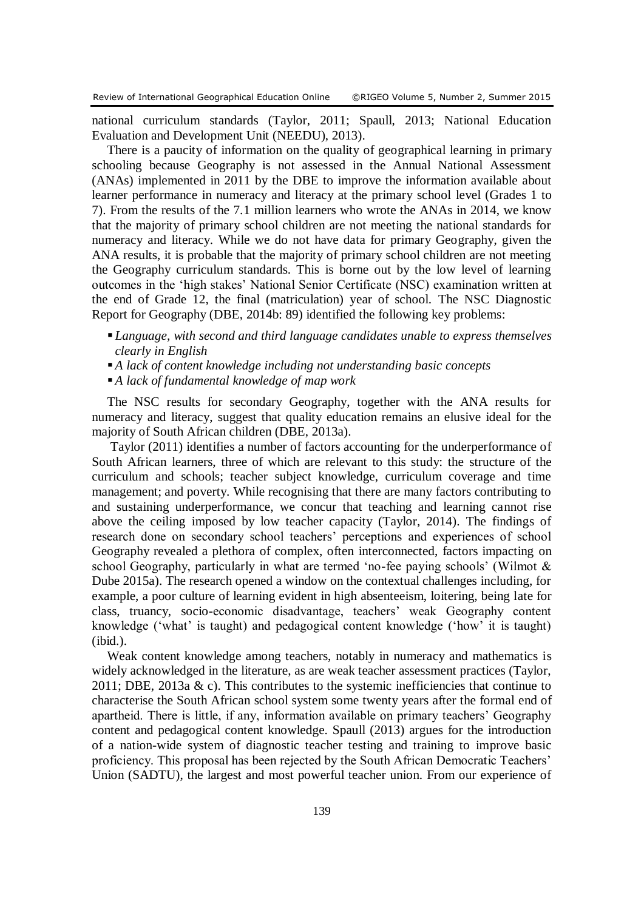national curriculum standards (Taylor, 2011; Spaull, 2013; National Education Evaluation and Development Unit (NEEDU), 2013).

There is a paucity of information on the quality of geographical learning in primary schooling because Geography is not assessed in the Annual National Assessment (ANAs) implemented in 2011 by the DBE to improve the information available about learner performance in numeracy and literacy at the primary school level (Grades 1 to 7). From the results of the 7.1 million learners who wrote the ANAs in 2014, we know that the majority of primary school children are not meeting the national standards for numeracy and literacy. While we do not have data for primary Geography, given the ANA results, it is probable that the majority of primary school children are not meeting the Geography curriculum standards. This is borne out by the low level of learning outcomes in the 'high stakes' National Senior Certificate (NSC) examination written at the end of Grade 12, the final (matriculation) year of school. The NSC Diagnostic Report for Geography (DBE, 2014b: 89) identified the following key problems:

- *Language, with second and third language candidates unable to express themselves clearly in English*
- *A lack of content knowledge including not understanding basic concepts*
- *A lack of fundamental knowledge of map work*

The NSC results for secondary Geography, together with the ANA results for numeracy and literacy, suggest that quality education remains an elusive ideal for the majority of South African children (DBE, 2013a).

Taylor (2011) identifies a number of factors accounting for the underperformance of South African learners, three of which are relevant to this study: the structure of the curriculum and schools; teacher subject knowledge, curriculum coverage and time management; and poverty. While recognising that there are many factors contributing to and sustaining underperformance, we concur that teaching and learning cannot rise above the ceiling imposed by low teacher capacity (Taylor, 2014). The findings of research done on secondary school teachers' perceptions and experiences of school Geography revealed a plethora of complex, often interconnected, factors impacting on school Geography, particularly in what are termed 'no-fee paying schools' (Wilmot & Dube 2015a). The research opened a window on the contextual challenges including, for example, a poor culture of learning evident in high absenteeism, loitering, being late for class, truancy, socio-economic disadvantage, teachers' weak Geography content knowledge ('what' is taught) and pedagogical content knowledge ('how' it is taught) (ibid.).

Weak content knowledge among teachers, notably in numeracy and mathematics is widely acknowledged in the literature, as are weak teacher assessment practices (Taylor, 2011; DBE, 2013a  $\&$  c). This contributes to the systemic inefficiencies that continue to characterise the South African school system some twenty years after the formal end of apartheid. There is little, if any, information available on primary teachers' Geography content and pedagogical content knowledge. Spaull (2013) argues for the introduction of a nation-wide system of diagnostic teacher testing and training to improve basic proficiency. This proposal has been rejected by the South African Democratic Teachers' Union (SADTU), the largest and most powerful teacher union. From our experience of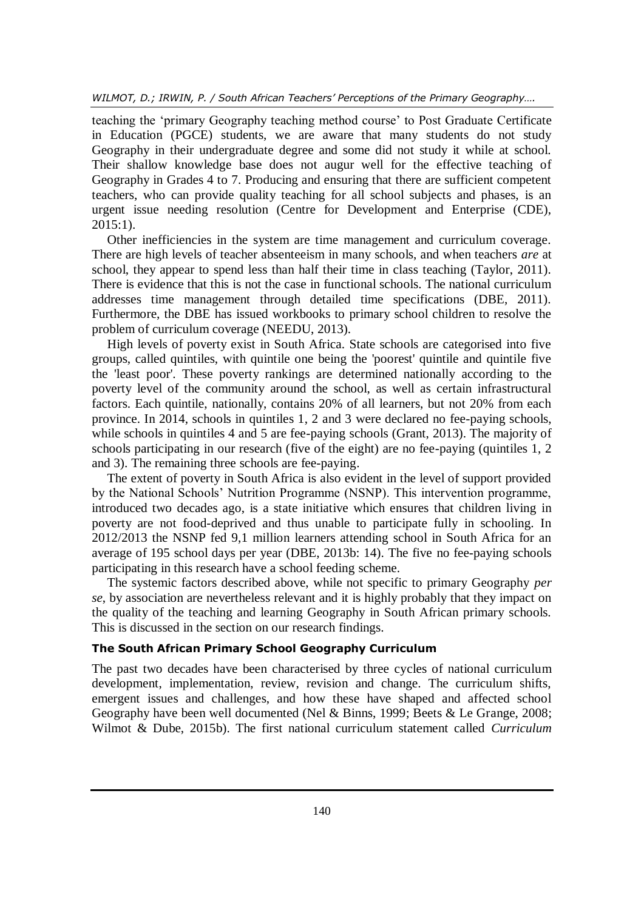teaching the 'primary Geography teaching method course' to Post Graduate Certificate in Education (PGCE) students, we are aware that many students do not study Geography in their undergraduate degree and some did not study it while at school. Their shallow knowledge base does not augur well for the effective teaching of Geography in Grades 4 to 7. Producing and ensuring that there are sufficient competent teachers, who can provide quality teaching for all school subjects and phases, is an urgent issue needing resolution (Centre for Development and Enterprise (CDE), 2015:1).

Other inefficiencies in the system are time management and curriculum coverage. There are high levels of teacher absenteeism in many schools, and when teachers *are* at school, they appear to spend less than half their time in class teaching (Taylor, 2011). There is evidence that this is not the case in functional schools. The national curriculum addresses time management through detailed time specifications (DBE, 2011). Furthermore, the DBE has issued workbooks to primary school children to resolve the problem of curriculum coverage (NEEDU, 2013).

High levels of poverty exist in South Africa. State schools are categorised into five groups, called quintiles, with quintile one being the 'poorest' quintile and quintile five the 'least poor'. These poverty rankings are determined nationally according to the poverty level of the community around the school, as well as certain infrastructural factors. Each quintile, nationally, contains 20% of all learners, but not 20% from each province. In 2014, schools in quintiles 1, 2 and 3 were declared no fee-paying schools, while schools in quintiles 4 and 5 are fee-paying schools (Grant, 2013). The majority of schools participating in our research (five of the eight) are no fee-paying (quintiles 1, 2 and 3). The remaining three schools are fee-paying.

The extent of poverty in South Africa is also evident in the level of support provided by the National Schools' Nutrition Programme (NSNP). This intervention programme, introduced two decades ago, is a state initiative which ensures that children living in poverty are not food-deprived and thus unable to participate fully in schooling. In 2012/2013 the NSNP fed 9,1 million learners attending school in South Africa for an average of 195 school days per year (DBE, 2013b: 14). The five no fee-paying schools participating in this research have a school feeding scheme.

The systemic factors described above, while not specific to primary Geography *per se*, by association are nevertheless relevant and it is highly probably that they impact on the quality of the teaching and learning Geography in South African primary schools. This is discussed in the section on our research findings.

#### **The South African Primary School Geography Curriculum**

The past two decades have been characterised by three cycles of national curriculum development, implementation, review, revision and change. The curriculum shifts, emergent issues and challenges, and how these have shaped and affected school Geography have been well documented (Nel & Binns, 1999; Beets & Le Grange, 2008; Wilmot & Dube, 2015b). The first national curriculum statement called *Curriculum*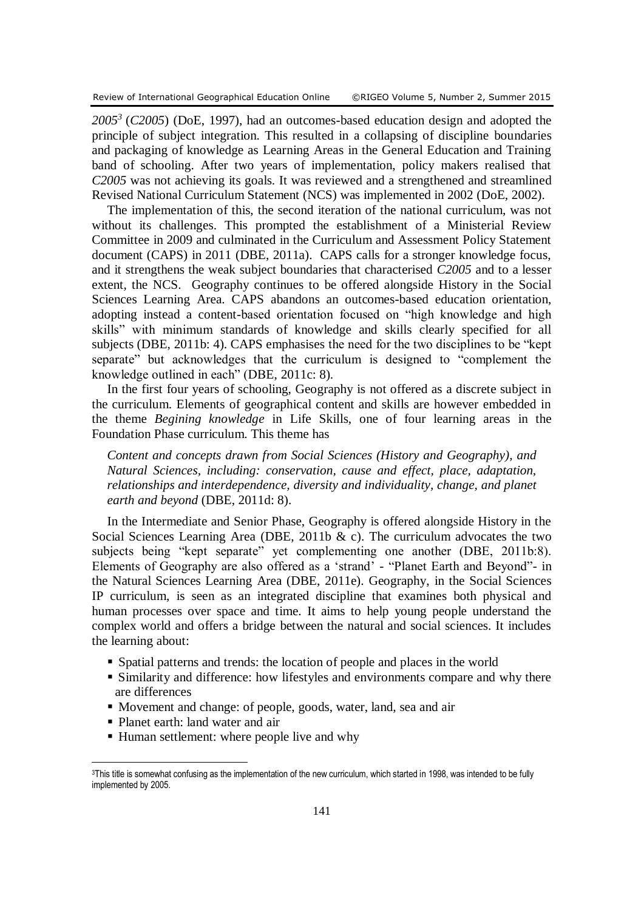*2005<sup>3</sup>* (*C2005*) (DoE, 1997), had an outcomes-based education design and adopted the principle of subject integration. This resulted in a collapsing of discipline boundaries and packaging of knowledge as Learning Areas in the General Education and Training band of schooling. After two years of implementation, policy makers realised that *C2005* was not achieving its goals. It was reviewed and a strengthened and streamlined Revised National Curriculum Statement (NCS) was implemented in 2002 (DoE, 2002).

The implementation of this, the second iteration of the national curriculum, was not without its challenges. This prompted the establishment of a Ministerial Review Committee in 2009 and culminated in the Curriculum and Assessment Policy Statement document (CAPS) in 2011 (DBE, 2011a). CAPS calls for a stronger knowledge focus, and it strengthens the weak subject boundaries that characterised *C2005* and to a lesser extent, the NCS. Geography continues to be offered alongside History in the Social Sciences Learning Area. CAPS abandons an outcomes-based education orientation, adopting instead a content-based orientation focused on "high knowledge and high skills" with minimum standards of knowledge and skills clearly specified for all subjects (DBE, 2011b: 4). CAPS emphasises the need for the two disciplines to be "kept separate" but acknowledges that the curriculum is designed to "complement the knowledge outlined in each" (DBE, 2011c: 8).

In the first four years of schooling, Geography is not offered as a discrete subject in the curriculum. Elements of geographical content and skills are however embedded in the theme *Begining knowledge* in Life Skills, one of four learning areas in the Foundation Phase curriculum. This theme has

*Content and concepts drawn from Social Sciences (History and Geography), and Natural Sciences, including: conservation, cause and effect, place, adaptation, relationships and interdependence, diversity and individuality, change, and planet earth and beyond* (DBE, 2011d: 8).

In the Intermediate and Senior Phase, Geography is offered alongside History in the Social Sciences Learning Area (DBE, 2011b  $\&$  c). The curriculum advocates the two subjects being "kept separate" yet complementing one another (DBE, 2011b:8). Elements of Geography are also offered as a 'strand' - "Planet Earth and Beyond"- in the Natural Sciences Learning Area (DBE, 2011e). Geography, in the Social Sciences IP curriculum, is seen as an integrated discipline that examines both physical and human processes over space and time. It aims to help young people understand the complex world and offers a bridge between the natural and social sciences. It includes the learning about:

- Spatial patterns and trends: the location of people and places in the world
- Similarity and difference: how lifestyles and environments compare and why there are differences
- Movement and change: of people, goods, water, land, sea and air
- Planet earth: land water and air

 $\overline{a}$ 

■ Human settlement: where people live and why

<sup>&</sup>lt;sup>3</sup>This title is somewhat confusing as the implementation of the new curriculum, which started in 1998, was intended to be fully implemented by 2005.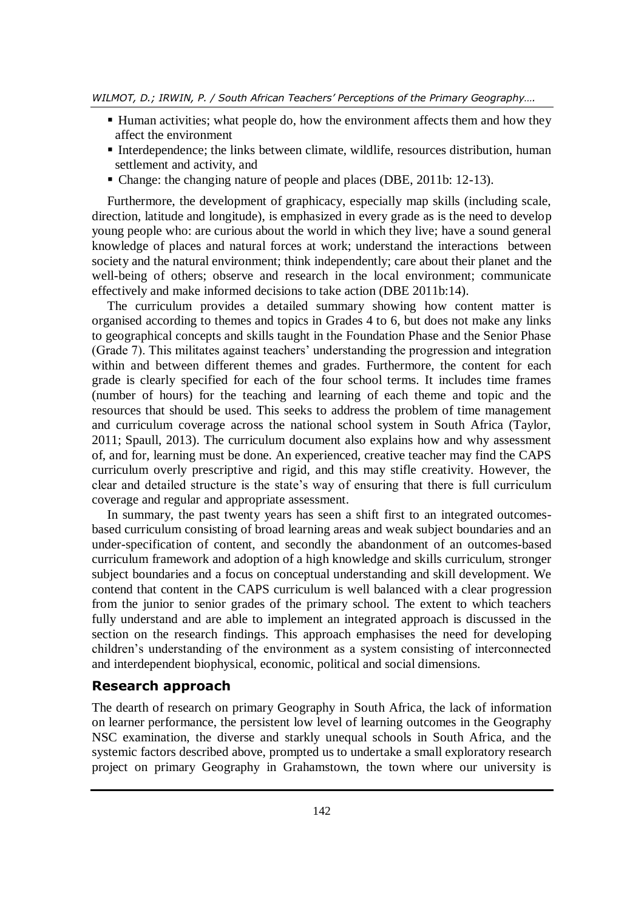- Human activities; what people do, how the environment affects them and how they affect the environment
- Interdependence; the links between climate, wildlife, resources distribution, human settlement and activity, and
- Change: the changing nature of people and places (DBE, 2011b: 12-13).

Furthermore, the development of graphicacy, especially map skills (including scale, direction, latitude and longitude), is emphasized in every grade as is the need to develop young people who: are curious about the world in which they live; have a sound general knowledge of places and natural forces at work; understand the interactions between society and the natural environment; think independently; care about their planet and the well-being of others; observe and research in the local environment; communicate effectively and make informed decisions to take action (DBE 2011b:14).

The curriculum provides a detailed summary showing how content matter is organised according to themes and topics in Grades 4 to 6, but does not make any links to geographical concepts and skills taught in the Foundation Phase and the Senior Phase (Grade 7). This militates against teachers' understanding the progression and integration within and between different themes and grades. Furthermore, the content for each grade is clearly specified for each of the four school terms. It includes time frames (number of hours) for the teaching and learning of each theme and topic and the resources that should be used. This seeks to address the problem of time management and curriculum coverage across the national school system in South Africa (Taylor, 2011; Spaull, 2013). The curriculum document also explains how and why assessment of, and for, learning must be done. An experienced, creative teacher may find the CAPS curriculum overly prescriptive and rigid, and this may stifle creativity. However, the clear and detailed structure is the state's way of ensuring that there is full curriculum coverage and regular and appropriate assessment.

In summary, the past twenty years has seen a shift first to an integrated outcomesbased curriculum consisting of broad learning areas and weak subject boundaries and an under-specification of content, and secondly the abandonment of an outcomes-based curriculum framework and adoption of a high knowledge and skills curriculum, stronger subject boundaries and a focus on conceptual understanding and skill development. We contend that content in the CAPS curriculum is well balanced with a clear progression from the junior to senior grades of the primary school. The extent to which teachers fully understand and are able to implement an integrated approach is discussed in the section on the research findings. This approach emphasises the need for developing children's understanding of the environment as a system consisting of interconnected and interdependent biophysical, economic, political and social dimensions.

# **Research approach**

The dearth of research on primary Geography in South Africa, the lack of information on learner performance, the persistent low level of learning outcomes in the Geography NSC examination, the diverse and starkly unequal schools in South Africa, and the systemic factors described above, prompted us to undertake a small exploratory research project on primary Geography in Grahamstown, the town where our university is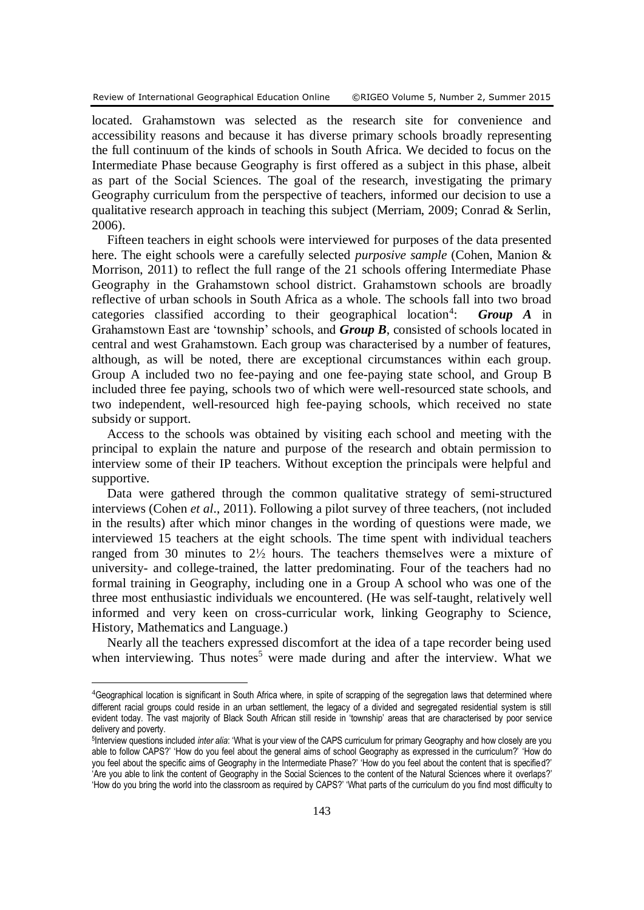$\overline{a}$ 

located. Grahamstown was selected as the research site for convenience and accessibility reasons and because it has diverse primary schools broadly representing the full continuum of the kinds of schools in South Africa. We decided to focus on the Intermediate Phase because Geography is first offered as a subject in this phase, albeit as part of the Social Sciences. The goal of the research, investigating the primary Geography curriculum from the perspective of teachers, informed our decision to use a qualitative research approach in teaching this subject (Merriam, 2009; Conrad & Serlin, 2006).

Fifteen teachers in eight schools were interviewed for purposes of the data presented here. The eight schools were a carefully selected *purposive sample* (Cohen, Manion & Morrison, 2011) to reflect the full range of the 21 schools offering Intermediate Phase Geography in the Grahamstown school district. Grahamstown schools are broadly reflective of urban schools in South Africa as a whole. The schools fall into two broad categories classified according to their geographical location<sup>4</sup>: : *Group A* in Grahamstown East are 'township' schools, and *Group B*, consisted of schools located in central and west Grahamstown. Each group was characterised by a number of features, although, as will be noted, there are exceptional circumstances within each group. Group A included two no fee-paying and one fee-paying state school, and Group B included three fee paying, schools two of which were well-resourced state schools, and two independent, well-resourced high fee-paying schools, which received no state subsidy or support.

Access to the schools was obtained by visiting each school and meeting with the principal to explain the nature and purpose of the research and obtain permission to interview some of their IP teachers. Without exception the principals were helpful and supportive.

Data were gathered through the common qualitative strategy of semi-structured interviews (Cohen *et al*., 2011). Following a pilot survey of three teachers, (not included in the results) after which minor changes in the wording of questions were made, we interviewed 15 teachers at the eight schools. The time spent with individual teachers ranged from 30 minutes to 2½ hours. The teachers themselves were a mixture of university- and college-trained, the latter predominating. Four of the teachers had no formal training in Geography, including one in a Group A school who was one of the three most enthusiastic individuals we encountered. (He was self-taught, relatively well informed and very keen on cross-curricular work, linking Geography to Science, History, Mathematics and Language.)

Nearly all the teachers expressed discomfort at the idea of a tape recorder being used when interviewing. Thus notes<sup>5</sup> were made during and after the interview. What we

<sup>4</sup>Geographical location is significant in South Africa where, in spite of scrapping of the segregation laws that determined where different racial groups could reside in an urban settlement, the legacy of a divided and segregated residential system is still evident today. The vast majority of Black South African still reside in 'township' areas that are characterised by poor service delivery and poverty.

<sup>5</sup> Interview questions included *inter alia*: 'What is your view of the CAPS curriculum for primary Geography and how closely are you able to follow CAPS?' 'How do you feel about the general aims of school Geography as expressed in the curriculum?' 'How do you feel about the specific aims of Geography in the Intermediate Phase?' 'How do you feel about the content that is specified?' 'Are you able to link the content of Geography in the Social Sciences to the content of the Natural Sciences where it overlaps?' 'How do you bring the world into the classroom as required by CAPS?' 'What parts of the curriculum do you find most difficulty to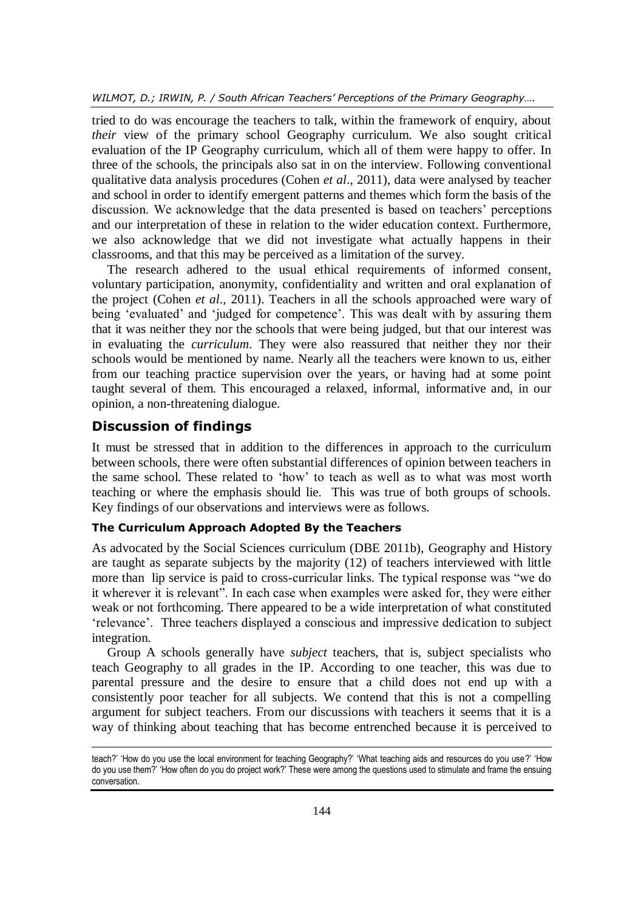*WILMOT, D.; IRWIN, P. / South African Teachers' Perceptions of the Primary Geography….*

tried to do was encourage the teachers to talk, within the framework of enquiry, about *their* view of the primary school Geography curriculum. We also sought critical evaluation of the IP Geography curriculum, which all of them were happy to offer. In three of the schools, the principals also sat in on the interview. Following conventional qualitative data analysis procedures (Cohen *et al*., 2011), data were analysed by teacher and school in order to identify emergent patterns and themes which form the basis of the discussion. We acknowledge that the data presented is based on teachers' perceptions and our interpretation of these in relation to the wider education context. Furthermore, we also acknowledge that we did not investigate what actually happens in their classrooms, and that this may be perceived as a limitation of the survey.

The research adhered to the usual ethical requirements of informed consent, voluntary participation, anonymity, confidentiality and written and oral explanation of the project (Cohen *et al*.*,* 2011). Teachers in all the schools approached were wary of being 'evaluated' and 'judged for competence'. This was dealt with by assuring them that it was neither they nor the schools that were being judged, but that our interest was in evaluating the *curriculum*. They were also reassured that neither they nor their schools would be mentioned by name. Nearly all the teachers were known to us, either from our teaching practice supervision over the years, or having had at some point taught several of them. This encouraged a relaxed, informal, informative and, in our opinion, a non-threatening dialogue.

# **Discussion of findings**

 $\overline{a}$ 

It must be stressed that in addition to the differences in approach to the curriculum between schools, there were often substantial differences of opinion between teachers in the same school. These related to 'how' to teach as well as to what was most worth teaching or where the emphasis should lie. This was true of both groups of schools. Key findings of our observations and interviews were as follows.

## **The Curriculum Approach Adopted By the Teachers**

As advocated by the Social Sciences curriculum (DBE 2011b), Geography and History are taught as separate subjects by the majority (12) of teachers interviewed with little more than lip service is paid to cross-curricular links. The typical response was "we do it wherever it is relevant". In each case when examples were asked for, they were either weak or not forthcoming. There appeared to be a wide interpretation of what constituted 'relevance'. Three teachers displayed a conscious and impressive dedication to subject integration.

Group A schools generally have *subject* teachers, that is, subject specialists who teach Geography to all grades in the IP. According to one teacher, this was due to parental pressure and the desire to ensure that a child does not end up with a consistently poor teacher for all subjects. We contend that this is not a compelling argument for subject teachers. From our discussions with teachers it seems that it is a way of thinking about teaching that has become entrenched because it is perceived to

teach?' 'How do you use the local environment for teaching Geography?' 'What teaching aids and resources do you use?' 'How do you use them?' 'How often do you do project work?' These were among the questions used to stimulate and frame the ensuing conversation.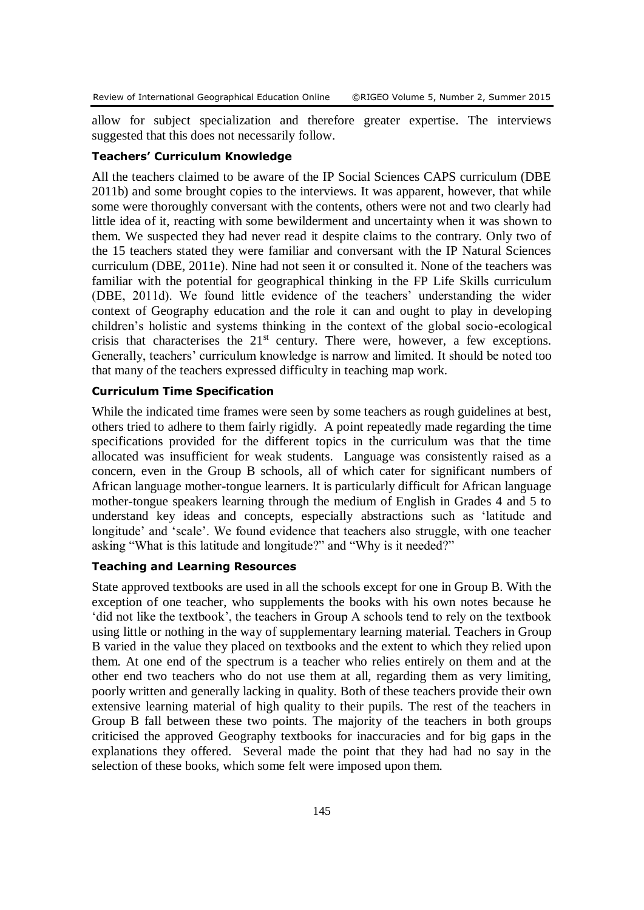allow for subject specialization and therefore greater expertise. The interviews suggested that this does not necessarily follow.

#### **Teachers' Curriculum Knowledge**

All the teachers claimed to be aware of the IP Social Sciences CAPS curriculum (DBE 2011b) and some brought copies to the interviews. It was apparent, however, that while some were thoroughly conversant with the contents, others were not and two clearly had little idea of it, reacting with some bewilderment and uncertainty when it was shown to them. We suspected they had never read it despite claims to the contrary. Only two of the 15 teachers stated they were familiar and conversant with the IP Natural Sciences curriculum (DBE, 2011e). Nine had not seen it or consulted it. None of the teachers was familiar with the potential for geographical thinking in the FP Life Skills curriculum (DBE, 2011d). We found little evidence of the teachers' understanding the wider context of Geography education and the role it can and ought to play in developing children's holistic and systems thinking in the context of the global socio-ecological crisis that characterises the  $21<sup>st</sup>$  century. There were, however, a few exceptions. Generally, teachers' curriculum knowledge is narrow and limited. It should be noted too that many of the teachers expressed difficulty in teaching map work.

### **Curriculum Time Specification**

While the indicated time frames were seen by some teachers as rough guidelines at best, others tried to adhere to them fairly rigidly. A point repeatedly made regarding the time specifications provided for the different topics in the curriculum was that the time allocated was insufficient for weak students. Language was consistently raised as a concern, even in the Group B schools, all of which cater for significant numbers of African language mother-tongue learners. It is particularly difficult for African language mother-tongue speakers learning through the medium of English in Grades 4 and 5 to understand key ideas and concepts, especially abstractions such as 'latitude and longitude' and 'scale'. We found evidence that teachers also struggle, with one teacher asking "What is this latitude and longitude?" and "Why is it needed?"

### **Teaching and Learning Resources**

State approved textbooks are used in all the schools except for one in Group B. With the exception of one teacher, who supplements the books with his own notes because he 'did not like the textbook', the teachers in Group A schools tend to rely on the textbook using little or nothing in the way of supplementary learning material. Teachers in Group B varied in the value they placed on textbooks and the extent to which they relied upon them. At one end of the spectrum is a teacher who relies entirely on them and at the other end two teachers who do not use them at all, regarding them as very limiting, poorly written and generally lacking in quality. Both of these teachers provide their own extensive learning material of high quality to their pupils. The rest of the teachers in Group B fall between these two points. The majority of the teachers in both groups criticised the approved Geography textbooks for inaccuracies and for big gaps in the explanations they offered. Several made the point that they had had no say in the selection of these books, which some felt were imposed upon them.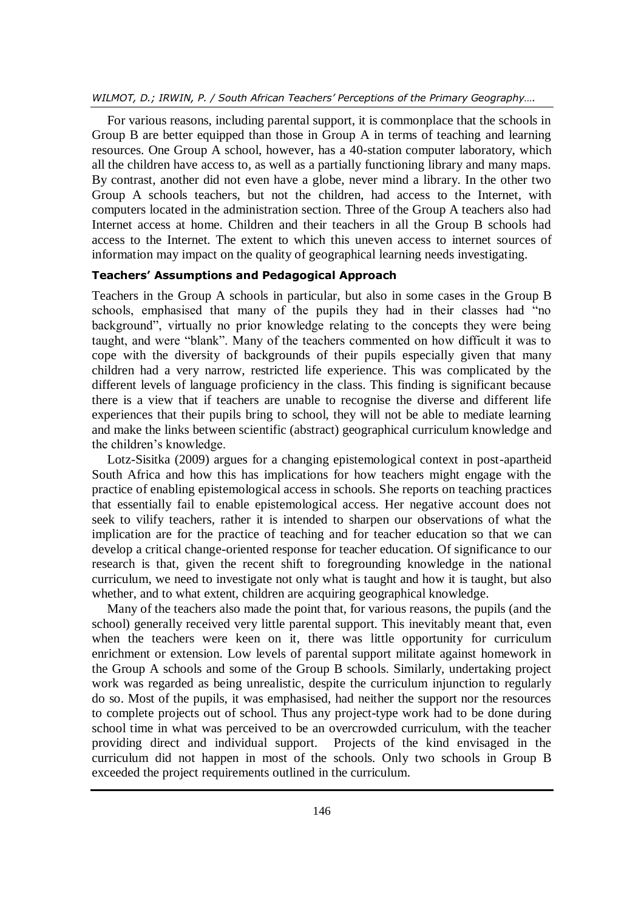#### *WILMOT, D.; IRWIN, P. / South African Teachers' Perceptions of the Primary Geography….*

For various reasons, including parental support, it is commonplace that the schools in Group B are better equipped than those in Group A in terms of teaching and learning resources. One Group A school, however, has a 40-station computer laboratory, which all the children have access to, as well as a partially functioning library and many maps. By contrast, another did not even have a globe, never mind a library. In the other two Group A schools teachers, but not the children, had access to the Internet, with computers located in the administration section. Three of the Group A teachers also had Internet access at home. Children and their teachers in all the Group B schools had access to the Internet. The extent to which this uneven access to internet sources of information may impact on the quality of geographical learning needs investigating.

#### **Teachers' Assumptions and Pedagogical Approach**

Teachers in the Group A schools in particular, but also in some cases in the Group B schools, emphasised that many of the pupils they had in their classes had "no background", virtually no prior knowledge relating to the concepts they were being taught, and were "blank". Many of the teachers commented on how difficult it was to cope with the diversity of backgrounds of their pupils especially given that many children had a very narrow, restricted life experience. This was complicated by the different levels of language proficiency in the class. This finding is significant because there is a view that if teachers are unable to recognise the diverse and different life experiences that their pupils bring to school, they will not be able to mediate learning and make the links between scientific (abstract) geographical curriculum knowledge and the children's knowledge.

Lotz-Sisitka (2009) argues for a changing epistemological context in post-apartheid South Africa and how this has implications for how teachers might engage with the practice of enabling epistemological access in schools. She reports on teaching practices that essentially fail to enable epistemological access. Her negative account does not seek to vilify teachers, rather it is intended to sharpen our observations of what the implication are for the practice of teaching and for teacher education so that we can develop a critical change-oriented response for teacher education. Of significance to our research is that, given the recent shift to foregrounding knowledge in the national curriculum, we need to investigate not only what is taught and how it is taught, but also whether, and to what extent, children are acquiring geographical knowledge.

Many of the teachers also made the point that, for various reasons, the pupils (and the school) generally received very little parental support. This inevitably meant that, even when the teachers were keen on it, there was little opportunity for curriculum enrichment or extension. Low levels of parental support militate against homework in the Group A schools and some of the Group B schools. Similarly, undertaking project work was regarded as being unrealistic, despite the curriculum injunction to regularly do so. Most of the pupils, it was emphasised, had neither the support nor the resources to complete projects out of school. Thus any project-type work had to be done during school time in what was perceived to be an overcrowded curriculum, with the teacher providing direct and individual support. Projects of the kind envisaged in the curriculum did not happen in most of the schools. Only two schools in Group B exceeded the project requirements outlined in the curriculum.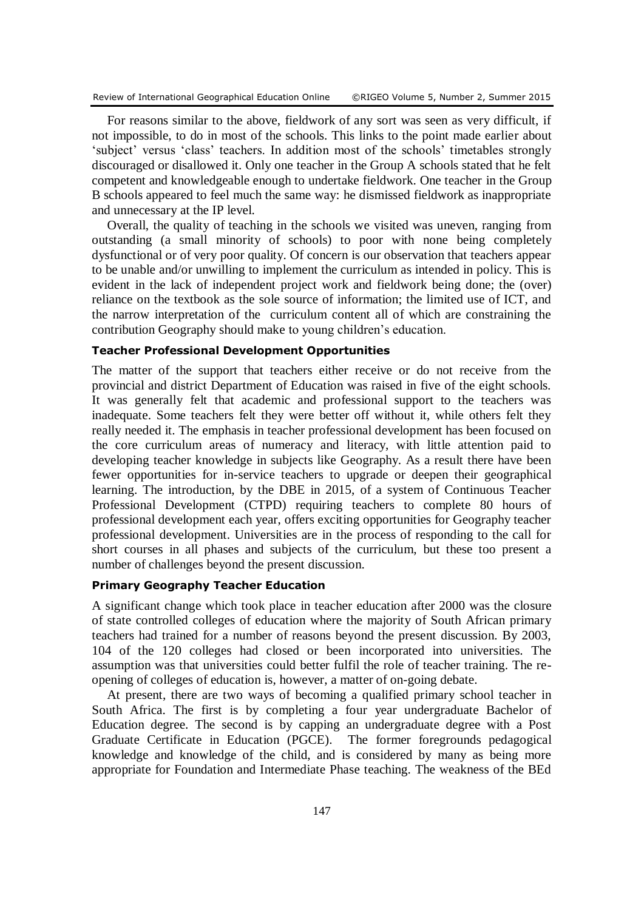For reasons similar to the above, fieldwork of any sort was seen as very difficult, if not impossible, to do in most of the schools. This links to the point made earlier about 'subject' versus 'class' teachers. In addition most of the schools' timetables strongly discouraged or disallowed it. Only one teacher in the Group A schools stated that he felt competent and knowledgeable enough to undertake fieldwork. One teacher in the Group B schools appeared to feel much the same way: he dismissed fieldwork as inappropriate and unnecessary at the IP level.

Overall, the quality of teaching in the schools we visited was uneven, ranging from outstanding (a small minority of schools) to poor with none being completely dysfunctional or of very poor quality. Of concern is our observation that teachers appear to be unable and/or unwilling to implement the curriculum as intended in policy. This is evident in the lack of independent project work and fieldwork being done; the (over) reliance on the textbook as the sole source of information; the limited use of ICT, and the narrow interpretation of the curriculum content all of which are constraining the contribution Geography should make to young children's education.

#### **Teacher Professional Development Opportunities**

The matter of the support that teachers either receive or do not receive from the provincial and district Department of Education was raised in five of the eight schools. It was generally felt that academic and professional support to the teachers was inadequate. Some teachers felt they were better off without it, while others felt they really needed it. The emphasis in teacher professional development has been focused on the core curriculum areas of numeracy and literacy, with little attention paid to developing teacher knowledge in subjects like Geography. As a result there have been fewer opportunities for in-service teachers to upgrade or deepen their geographical learning. The introduction, by the DBE in 2015, of a system of Continuous Teacher Professional Development (CTPD) requiring teachers to complete 80 hours of professional development each year, offers exciting opportunities for Geography teacher professional development. Universities are in the process of responding to the call for short courses in all phases and subjects of the curriculum, but these too present a number of challenges beyond the present discussion.

#### **Primary Geography Teacher Education**

A significant change which took place in teacher education after 2000 was the closure of state controlled colleges of education where the majority of South African primary teachers had trained for a number of reasons beyond the present discussion. By 2003, 104 of the 120 colleges had closed or been incorporated into universities. The assumption was that universities could better fulfil the role of teacher training. The reopening of colleges of education is, however, a matter of on-going debate.

At present, there are two ways of becoming a qualified primary school teacher in South Africa. The first is by completing a four year undergraduate Bachelor of Education degree. The second is by capping an undergraduate degree with a Post Graduate Certificate in Education (PGCE). The former foregrounds pedagogical knowledge and knowledge of the child, and is considered by many as being more appropriate for Foundation and Intermediate Phase teaching. The weakness of the BEd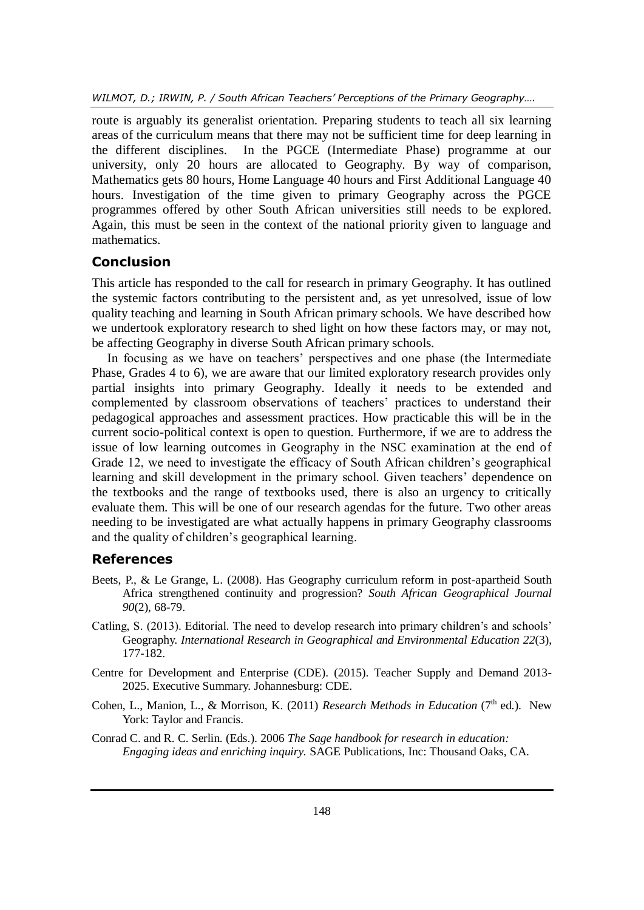route is arguably its generalist orientation. Preparing students to teach all six learning areas of the curriculum means that there may not be sufficient time for deep learning in the different disciplines. In the PGCE (Intermediate Phase) programme at our university, only 20 hours are allocated to Geography. By way of comparison, Mathematics gets 80 hours, Home Language 40 hours and First Additional Language 40 hours. Investigation of the time given to primary Geography across the PGCE programmes offered by other South African universities still needs to be explored. Again, this must be seen in the context of the national priority given to language and mathematics.

## **Conclusion**

This article has responded to the call for research in primary Geography. It has outlined the systemic factors contributing to the persistent and, as yet unresolved, issue of low quality teaching and learning in South African primary schools. We have described how we undertook exploratory research to shed light on how these factors may, or may not, be affecting Geography in diverse South African primary schools.

In focusing as we have on teachers' perspectives and one phase (the Intermediate Phase, Grades 4 to 6), we are aware that our limited exploratory research provides only partial insights into primary Geography. Ideally it needs to be extended and complemented by classroom observations of teachers' practices to understand their pedagogical approaches and assessment practices. How practicable this will be in the current socio-political context is open to question. Furthermore, if we are to address the issue of low learning outcomes in Geography in the NSC examination at the end of Grade 12, we need to investigate the efficacy of South African children's geographical learning and skill development in the primary school. Given teachers' dependence on the textbooks and the range of textbooks used, there is also an urgency to critically evaluate them. This will be one of our research agendas for the future. Two other areas needing to be investigated are what actually happens in primary Geography classrooms and the quality of children's geographical learning.

## **References**

- Beets, P., & Le Grange, L. (2008). Has Geography curriculum reform in post-apartheid South Africa strengthened continuity and progression? *South African Geographical Journal 90*(2), 68-79.
- Catling, S. (2013). Editorial. The need to develop research into primary children's and schools' Geography. *International Research in Geographical and Environmental Education 22*(3), 177-182.
- Centre for Development and Enterprise (CDE). (2015). Teacher Supply and Demand 2013- 2025. Executive Summary. Johannesburg: CDE.
- Cohen, L., Manion, L., & Morrison, K. (2011) *Research Methods in Education* (7<sup>th</sup> ed.). New York: Taylor and Francis.
- Conrad C. and R. C. Serlin. (Eds.). 2006 *The Sage handbook for research in education: Engaging ideas and enriching inquiry.* SAGE Publications, Inc: Thousand Oaks, CA.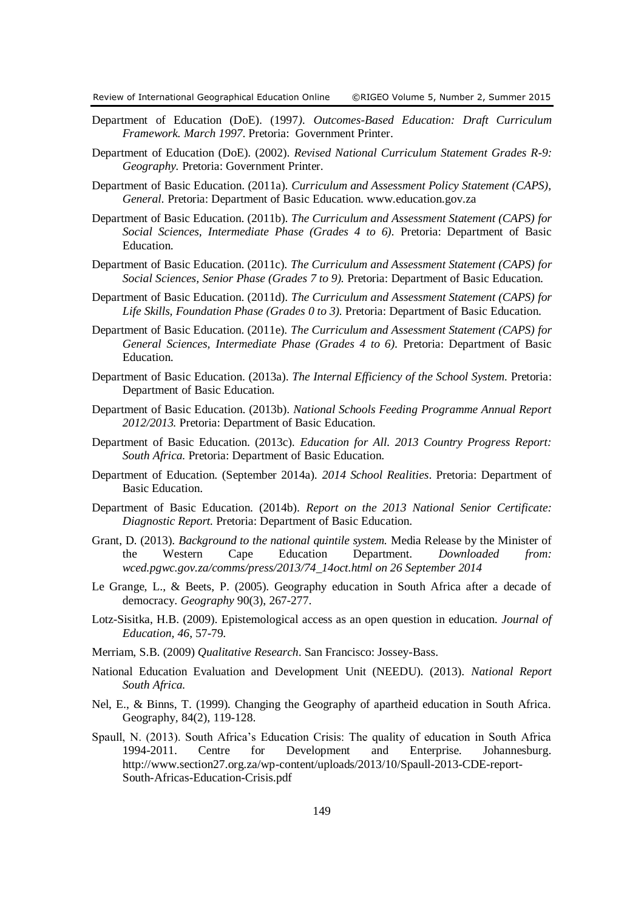- Department of Education (DoE). (1997*). Outcomes-Based Education: Draft Curriculum Framework. March 1997*. Pretoria: Government Printer.
- Department of Education (DoE). (2002). *Revised National Curriculum Statement Grades R-9: Geography.* Pretoria: Government Printer.
- Department of Basic Education. (2011a). *Curriculum and Assessment Policy Statement (CAPS), General.* Pretoria: Department of Basic Education. www.education.gov.za
- Department of Basic Education. (2011b). *The Curriculum and Assessment Statement (CAPS) for Social Sciences, Intermediate Phase (Grades 4 to 6).* Pretoria: Department of Basic **Education**
- Department of Basic Education. (2011c). *The Curriculum and Assessment Statement (CAPS) for Social Sciences, Senior Phase (Grades 7 to 9).* Pretoria: Department of Basic Education.
- Department of Basic Education. (2011d). *The Curriculum and Assessment Statement (CAPS) for Life Skills, Foundation Phase (Grades 0 to 3).* Pretoria: Department of Basic Education.
- Department of Basic Education. (2011e). *The Curriculum and Assessment Statement (CAPS) for General Sciences, Intermediate Phase (Grades 4 to 6).* Pretoria: Department of Basic Education.
- Department of Basic Education. (2013a). *The Internal Efficiency of the School System.* Pretoria: Department of Basic Education.
- Department of Basic Education. (2013b). *National Schools Feeding Programme Annual Report 2012/2013.* Pretoria: Department of Basic Education.
- Department of Basic Education. (2013c). *Education for All. 2013 Country Progress Report: South Africa.* Pretoria: Department of Basic Education.
- Department of Education. (September 2014a). *2014 School Realities*. Pretoria: Department of Basic Education.
- Department of Basic Education. (2014b). *Report on the 2013 National Senior Certificate: Diagnostic Report.* Pretoria: Department of Basic Education.
- Grant, D. (2013). *Background to the national quintile system.* Media Release by the Minister of the Western Cape Education Department. *Downloaded from: wced.pgwc.gov.za/comms/press/2013/74\_14oct.html on 26 September 2014*
- Le Grange, L., & Beets, P. (2005). Geography education in South Africa after a decade of democracy. *Geography* 90(3), 267-277.
- Lotz-Sisitka, H.B. (2009). Epistemological access as an open question in education. *Journal of Education, 46*, 57-79.
- Merriam, S.B. (2009) *Qualitative Research*. San Francisco: Jossey-Bass.
- National Education Evaluation and Development Unit (NEEDU). (2013). *National Report South Africa.*
- Nel, E., & Binns, T. (1999). Changing the Geography of apartheid education in South Africa. Geography*,* 84(2), 119-128.
- Spaull, N. (2013). South Africa's Education Crisis: The quality of education in South Africa 1994-2011. Centre for Development and Enterprise. Johannesburg. http://www.section27.org.za/wp-content/uploads/2013/10/Spaull-2013-CDE-report-South-Africas-Education-Crisis.pdf